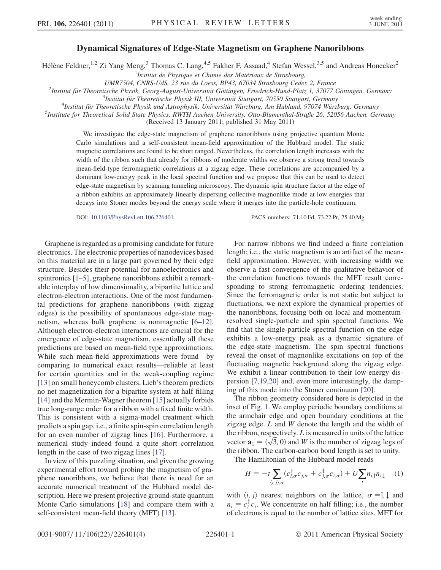## Dynamical Signatures of Edge-State Magnetism on Graphene Nanoribbons

Hélène Feldner,<sup>1,2</sup> Zi Yang Meng,<sup>3</sup> Thomas C. Lang,<sup>4,5</sup> Fakher F. Assaad,<sup>4</sup> Stefan Wessel,<sup>3,5</sup> and Andreas Honecker<sup>2</sup>

<sup>1</sup>Institut de Physique et Chimie des Matériaux de Strasbourg,

UMR7504, CNRS-UdS, 23 rue du Loess, BP43, 67034 Strasbourg Cedex 2, France <sup>2</sup>

<sup>2</sup>Institut für Theoretische Physik, Georg-August-Universität Göttingen, Friedrich-Hund-Platz 1, 37077 Göttingen, Germany

 $3$ Institut für Theoretische Physik III, Universität Stuttgart, 70550 Stuttgart, Germany

<sup>4</sup>Institut für Theoretische Physik und Astrophysik, Universität Würzburg, Am Hubland, 97074 Würzburg, Germany

 $<sup>5</sup>$ Institute for Theoretical Solid State Physics, RWTH Aachen University, Otto-Blumenthal-Straße 26, 52056 Aachen, Germany</sup> (Received 13 January 2011; published 31 May 2011)

We investigate the edge-state magnetism of graphene nanoribbons using projective quantum Monte Carlo simulations and a self-consistent mean-field approximation of the Hubbard model. The static magnetic correlations are found to be short ranged. Nevertheless, the correlation length increases with the width of the ribbon such that already for ribbons of moderate widths we observe a strong trend towards mean-field-type ferromagnetic correlations at a zigzag edge. These correlations are accompanied by a dominant low-energy peak in the local spectral function and we propose that this can be used to detect edge-state magnetism by scanning tunneling microscopy. The dynamic spin structure factor at the edge of a ribbon exhibits an approximately linearly dispersing collective magnonlike mode at low energies that decays into Stoner modes beyond the energy scale where it merges into the particle-hole continuum.

DOI: [10.1103/PhysRevLett.106.226401](http://dx.doi.org/10.1103/PhysRevLett.106.226401) PACS numbers: 71.10.Fd, 73.22.Pr, 75.40.Mg

Graphene is regarded as a promising candidate for future electronics. The electronic properties of nanodevices based on this material are in a large part governed by their edge structure. Besides their potential for nanoelectronics and spintronics [\[1–](#page-3-0)[5](#page-3-1)], graphene nanoribbons exhibit a remarkable interplay of low dimensionality, a bipartite lattice and electron-electron interactions. One of the most fundamental predictions for graphene nanoribbons (with zigzag edges) is the possibility of spontaneous edge-state magnetism, whereas bulk graphene is nonmagnetic [[6](#page-3-2)[–12\]](#page-3-3). Although electron-electron interactions are crucial for the emergence of edge-state magnetism, essentially all these predictions are based on mean-field type approximations. While such mean-field approximations were found—by comparing to numerical exact results—reliable at least for certain quantities and in the weak-coupling regime [[13](#page-3-4)] on small honeycomb clusters, Lieb's theorem predicts no net magnetization for a bipartite system at half filling [[14](#page-3-5)] and the Mermin-Wagner theorem [[15](#page-3-6)] actually forbids true long-range order for a ribbon with a fixed finite width. This is consistent with a sigma-model treatment which predicts a spin gap, i.e., a finite spin-spin correlation length for an even number of zigzag lines [[16](#page-3-7)]. Furthermore, a numerical study indeed found a quite short correlation length in the case of two zigzag lines [[17\]](#page-3-8).

In view of this puzzling situation, and given the growing experimental effort toward probing the magnetism of graphene nanoribbons, we believe that there is need for an accurate numerical treatment of the Hubbard model description. Here we present projective ground-state quantum Monte Carlo simulations [[18](#page-3-9)] and compare them with a self-consistent mean-field theory (MFT) [\[13\]](#page-3-4).

For narrow ribbons we find indeed a finite correlation length; i.e., the static magnetism is an artifact of the meanfield approximation. However, with increasing width we observe a fast convergence of the qualitative behavior of the correlation functions towards the MFT result corresponding to strong ferromagnetic ordering tendencies. Since the ferromagnetic order is not static but subject to fluctuations, we next explore the dynamical properties of the nanoribbons, focusing both on local and momentumresolved single-particle and spin spectral functions. We find that the single-particle spectral function on the edge exhibits a low-energy peak as a dynamic signature of the edge-state magnetism. The spin spectral functions reveal the onset of magnonlike excitations on top of the fluctuating magnetic background along the zigzag edge. We exhibit a linear contribution to their low-energy dispersion [[7](#page-3-10)[,19](#page-3-11)[,20\]](#page-3-12) and, even more interestingly, the damping of this mode into the Stoner continuum [[20](#page-3-12)].

The ribbon geometry considered here is depicted in the inset of Fig. [1](#page-1-0). We employ periodic boundary conditions at the armchair edge and open boundary conditions at the zigzag edge. L and W denote the length and the width of the ribbon, respectively.  $L$  is measured in units of the lattice the ribbon, respectively. *L* is measured in units of the lattice vector  $\mathbf{a}_1 = (\sqrt{3}, 0)$  and *W* is the number of zigzag legs of the ribbon. The carbon-carbon bond length is set to unity.

<span id="page-0-0"></span>The Hamiltonian of the Hubbard model reads  $\mathbb{R}^2$  $\mathbb{Z}$ 

$$
H = -t \sum_{\langle i,j \rangle,\sigma} (c_{i,\sigma}^{\dagger} c_{j,\sigma} + c_{j,\sigma}^{\dagger} c_{i,\sigma}) + U \sum_{i} n_{i,\uparrow} n_{i,\downarrow} \quad (1)
$$

with  $\langle i, j \rangle$  nearest neighbors on the lattice,  $\sigma = \uparrow, \downarrow$  and  $n_i = c_i^{\mathsf{T}} c_i$ . We concentrate on half filling; i.e., the number of electrons is equal to the number of lattice sites. MFT for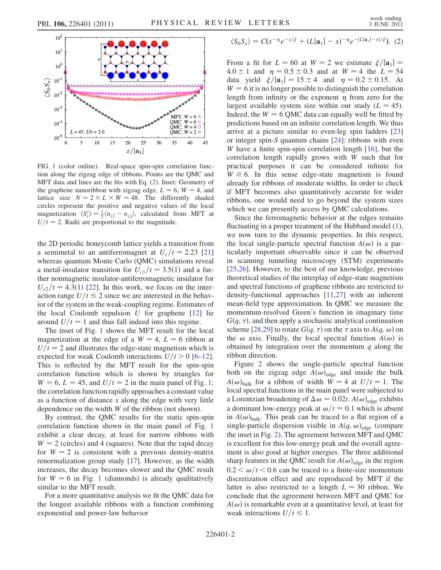<span id="page-1-0"></span>

FIG. 1 (color online). Real-space spin-spin correlation function along the zigzag edge of ribbons. Points are the QMC and MFT data and lines are the fits with Eq. ([2](#page-1-1)). Inset: Geometry of the graphene nanoribbon with zigzag edge,  $L = 6$ ,  $W = 4$ , and lattice size  $N = 2 \times L \times W = 48$ . The differently shaded circles represent the positive and negative values of the local magnetization  $\langle S_i^z \rangle = \frac{1}{2} \langle n_{i, \uparrow} - n_{i, \downarrow} \rangle$ , calculated from MFT at  $U/t = 2$ . Radii are proportional to the magnitude.

the 2D periodic honeycomb lattice yields a transition from a semimetal to an antiferromagnet at  $U_c/t = 2.23$  [\[21\]](#page-3-13) whereas quantum Monte Carlo (QMC) simulations reveal a metal-insulator transition for  $U_{c1}/t = 3.5(1)$  and a further nonmagnetic insulator-antiferromagnetic insulator for  $U_{c2}/t = 4.3(1)$  [[22](#page-3-14)]. In this work, we focus on the interaction range  $U/t \le 2$  since we are interested in the behavior of the system in the weak-coupling regime. Estimates of the local Coulomb repulsion  $U$  for graphene [[12](#page-3-3)] lie around  $U/t=1$  and thus fall indeed into this regime.

The inset of Fig. [1](#page-1-0) shows the MFT result for the local magnetization at the edge of a  $W = 4$ ,  $L = 6$  ribbon at  $U/t=2$  and illustrates the edge-state magnetism which is expected for weak Coulomb interactions  $U/t > 0$  [\[6](#page-3-2)[–12\]](#page-3-3). This is reflected by the MFT result for the spin-spin correlation function which is shown by triangles for  $W = 6$ ,  $L = 45$ , and  $U/t = 2$  in the main panel of Fig. [1](#page-1-0): the correlation function rapidly approaches a constant value as a function of distance  $x$  along the edge with very little dependence on the width W of the ribbon (not shown).

By contrast, the QMC results for the static spin-spin correlation function shown in the main panel of Fig. [1](#page-1-0) exhibit a clear decay, at least for narrow ribbons with  $W = 2$  (circles) and 4 (squares). Note that the rapid decay for  $W = 2$  is consistent with a previous density-matrix renormalization group study [\[17\]](#page-3-8). However, as the width increases, the decay becomes slower and the QMC result for  $W = 6$  in Fig. [1](#page-1-0) (diamonds) is already qualitatively similar to the MFT result.

For a more quantitative analysis we fit the QMC data for the longest available ribbons with a function combining exponential and power-law behavior

<span id="page-1-1"></span>
$$
\langle S_0 S_x \rangle = C(x^{-\eta} e^{-x/\xi} + (L|\mathbf{a}_1| - x)^{-\eta} e^{-(L|\mathbf{a}_1| - x)/\xi}). \tag{2}
$$

From a fit for  $L = 60$  at  $W = 2$  we estimate  $\xi/|\mathbf{a}_1|$  =  $4.0 \pm 1$  and  $\eta = 0.5 \pm 0.3$  and at  $W = 4$  the  $L = 54$ data yield  $\xi/|\mathbf{a}_1| = 15 \pm 4$  and  $\eta = 0.2 \pm 0.15$ . At  $W = 6$  it is no longer possible to distinguish the correlation length from infinity or the exponent  $\eta$  from zero for the largest available system size within our study  $(L = 45)$ . Indeed, the  $W = 6$  QMC data can equally well be fitted by predictions based on an infinite correlation length. We thus arrive at a picture similar to even-leg spin ladders [\[23\]](#page-3-15) or integer spin-S quantum chains [\[24\]](#page-3-16): ribbons with even W have a finite spin-spin correlation length [[16](#page-3-7)], but the correlation length rapidly grows with W such that for practical purposes it can be considered infinite for  $W \ge 6$ . In this sense edge-state magnetism is found already for ribbons of moderate widths. In order to check if MFT becomes also quantitatively accurate for wider ribbons, one would need to go beyond the system sizes which we can presently access by QMC calculations.

Since the ferromagnetic behavior at the edges remains fluctuating in a proper treatment of the Hubbard model ([1\)](#page-0-0), we now turn to the dynamic properties. In this respect, the local single-particle spectral function  $A(\omega)$  is a particularly important observable since it can be observed in scanning tunneling microscopy (STM) experiments [\[25](#page-3-17)[,26\]](#page-3-18). However, to the best of our knowledge, previous theoretical studies of the interplay of edge-state magnetism and spectral functions of graphene ribbons are restricted to density-functional approaches [\[11,](#page-3-19)[27\]](#page-3-20) with an inherent mean-field type approximation. In QMC we measure the momentum-resolved Green's function in imaginary time  $G(q, \tau)$ , and then apply a stochastic analytical continuation scheme [\[28,](#page-3-21)[29\]](#page-3-22) to rotate  $G(q, \tau)$  on the  $\tau$  axis to  $A(q, \omega)$  on the  $\omega$  axis. Finally, the local spectral function  $A(\omega)$  is obtained by integration over the momentum  $q$  along the ribbon direction.

Figure [2](#page-2-0) shows the single-particle spectral function both on the zigzag edge  $A(\omega)_{\text{edge}}$  and inside the bulk  $A(\omega)_{\text{bulk}}$  for a ribbon of width  $W = 4$  at  $U/t = 1$ . The local spectral functions in the main panel were subjected to a Lorentzian broadening of  $\Delta \omega = 0.02t$ .  $A(\omega)_{\text{edge}}$  exhibits a dominant low-energy peak at  $\omega/t \approx 0.1$  which is absent in  $A(\omega)_{\text{bulk}}$ . This peak can be traced to a flat region of a single-particle dispersion visible in  $A(q, \omega)_{\text{edge}}$  (compare the inset in Fig. [2](#page-2-0)). The agreement between MFT and QMC is excellent for this low-energy peak and the overall agreement is also good at higher energies. The three additional sharp features in the QMC result for  $A(\omega)_{\text{edge}}$  in the region  $0.2 < \omega/t < 0.6$  can be traced to a finite-size momentum discretization effect and are reproduced by MFT if the latter is also restricted to a length  $L = 30$  ribbon. We conclude that the agreement between MFT and QMC for  $A(\omega)$  is remarkable even at a quantitative level, at least for weak interactions  $U/t \le 1$ .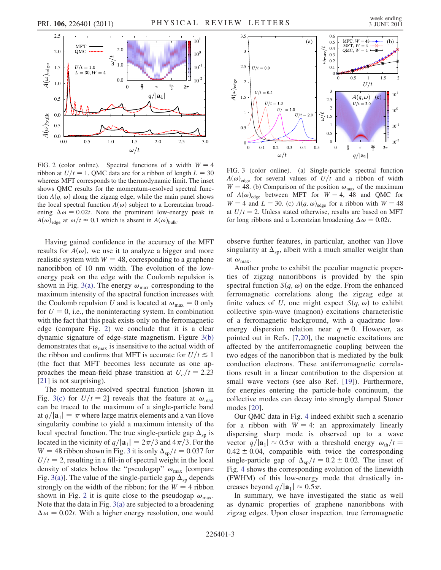<span id="page-2-0"></span>

FIG. 2 (color online). Spectral functions of a width  $W = 4$ ribbon at  $U/t = 1$ . QMC data are for a ribbon of length  $L = 30$ whereas MFT corresponds to the thermodynamic limit. The inset shows QMC results for the momentum-resolved spectral function  $A(q, \omega)$  along the zigzag edge, while the main panel shows the local spectral function  $A(\omega)$  subject to a Lorentzian broadening  $\Delta \omega = 0.02t$ . Note the prominent low-energy peak in  $A(\omega)_{\text{edge}}$  at  $\omega/t \approx 0.1$  which is absent in  $A(\omega)_{\text{bulk}}$ .

Having gained confidence in the accuracy of the MFT results for  $A(\omega)$ , we use it to analyze a bigger and more realistic system with  $W = 48$ , corresponding to a graphene nanoribbon of 10 nm width. The evolution of the lowenergy peak on the edge with the Coulomb repulsion is shown in Fig. [3\(a\).](#page-2-1) The energy  $\omega_{\text{max}}$  corresponding to the maximum intensity of the spectral function increases with the Coulomb repulsion U and is located at  $\omega_{\text{max}} = 0$  only for  $U = 0$ , i.e., the noninteracting system. In combination with the fact that this peak exists only on the ferromagnetic edge (compare Fig. [2](#page-2-0)) we conclude that it is a clear dynamic signature of edge-state magnetism. Figure [3\(b\)](#page-2-1) demonstrates that  $\omega_{\text{max}}$  is insensitive to the actual width of the ribbon and confirms that MFT is accurate for  $U/t \le 1$ (the fact that MFT becomes less accurate as one approaches the mean-field phase transition at  $U_c/t = 2.23$ [\[21\]](#page-3-13) is not surprising).

The momentum-resolved spectral function [shown in Fig. [3\(c\)](#page-2-1) for  $U/t = 2$ ] reveals that the feature at  $\omega_{\text{max}}$ can be traced to the maximum of a single-particle band at  $q/|\mathbf{a}_1| = \pi$  where large matrix elements and a van Hove singularity combine to yield a maximum intensity of the local spectral function. The true single-particle gap  $\Delta_{\rm sp}$  is located in the vicinity of  $q/|\mathbf{a}_1| = 2\pi/3$  and  $4\pi/3$ . For the  $W = 48$  ribbon shown in Fig. [3](#page-2-2) it is only  $\Delta_{\rm SD}/t = 0.037$  for  $U/t=2$ , resulting in a fill-in of spectral weight in the local density of states below the "pseudogap"  $\omega_{\text{max}}$  [compare Fig. [3\(a\)\]](#page-2-1). The value of the single-particle gap  $\Delta_{\rm{sn}}$  depends strongly on the width of the ribbon; for the  $W = 4$  ribbon shown in Fig. [2](#page-2-0) it is quite close to the pseudogap  $\omega_{\text{max}}$ . Note that the data in Fig. [3\(a\)](#page-2-1) are subjected to a broadening  $\Delta \omega = 0.02t$ . With a higher energy resolution, one would

<span id="page-2-2"></span>

<span id="page-2-1"></span>FIG. 3 (color online). (a) Single-particle spectral function  $A(\omega)_{\text{edge}}$  for several values of  $U/t$  and a ribbon of width  $W = 48$ . (b) Comparison of the position  $\omega_{\text{max}}$  of the maximum of  $A(\omega)_{\text{edge}}$  between MFT for  $W = 4$ , 48 and QMC for  $W = 4$  and  $L = 30$ . (c)  $A(q, \omega)_{\text{edge}}$  for a ribbon with  $W = 48$ at  $U/t=2$ . Unless stated otherwise, results are based on MFT for long ribbons and a Lorentzian broadening  $\Delta \omega = 0.02t$ .

observe further features, in particular, another van Hove singularity at  $\Delta_{\rm SD}$ , albeit with a much smaller weight than at  $\omega_{\text{max}}$ .

Another probe to exhibit the peculiar magnetic properties of zigzag nanoribbons is provided by the spin spectral function  $S(q, \omega)$  on the edge. From the enhanced ferromagnetic correlations along the zigzag edge at finite values of U, one might expect  $S(q, \omega)$  to exhibit collective spin-wave (magnon) excitations characteristic of a ferromagnetic background, with a quadratic lowenergy dispersion relation near  $q = 0$ . However, as pointed out in Refs. [\[7,](#page-3-10)[20\]](#page-3-12), the magnetic excitations are affected by the antiferromagnetic coupling between the two edges of the nanoribbon that is mediated by the bulk conduction electrons. These antiferromagnetic correlations result in a linear contribution to the dispersion at small wave vectors (see also Ref. [[19](#page-3-11)]). Furthermore, for energies entering the particle-hole continuum, the collective modes can decay into strongly damped Stoner modes [\[20\]](#page-3-12).

Our QMC data in Fig. [4](#page-3-23) indeed exhibit such a scenario for a ribbon with  $W = 4$ : an approximately linearly dispersing sharp mode is observed up to a wave vector  $q/|\mathbf{a}_1| \approx 0.5 \pi$  with a threshold energy  $\omega_{\text{th}}/t =$  $0.42 \pm 0.04$ , compatible with twice the corresponding single-particle gap of  $\Delta_{\rm sp}/t = 0.2 \pm 0.02$ . The inset of Fig. [4](#page-3-23) shows the corresponding evolution of the linewidth (FWHM) of this low-energy mode that drastically increases beyond  $q/|\mathbf{a}_1| \approx 0.5\pi$ .

In summary, we have investigated the static as well as dynamic properties of graphene nanoribbons with zigzag edges. Upon closer inspection, true ferromagnetic